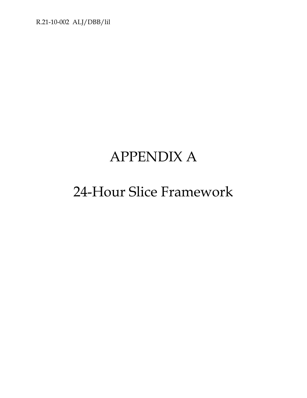R.21-10-002 ALJ/DBB/lil

# APPENDIX A

# 24-Hour Slice Framework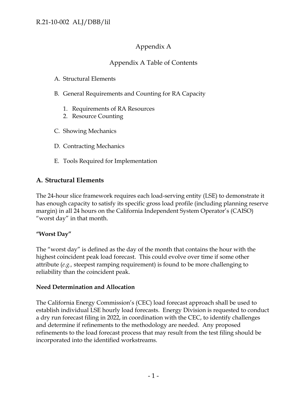# Appendix A

# Appendix A Table of Contents

- A. Structural Elements
- B. General Requirements and Counting for RA Capacity
	- 1. Requirements of RA Resources
	- 2. Resource Counting
- C. Showing Mechanics
- D. Contracting Mechanics
- E. Tools Required for Implementation

# **A. Structural Elements**

The 24-hour slice framework requires each load-serving entity (LSE) to demonstrate it has enough capacity to satisfy its specific gross load profile (including planning reserve margin) in all 24 hours on the California Independent System Operator's (CAISO) "worst day" in that month.

### **"Worst Day"**

The "worst day" is defined as the day of the month that contains the hour with the highest coincident peak load forecast. This could evolve over time if some other attribute (*e.g.,* steepest ramping requirement) is found to be more challenging to reliability than the coincident peak.

### **Need Determination and Allocation**

The California Energy Commission's (CEC) load forecast approach shall be used to establish individual LSE hourly load forecasts. Energy Division is requested to conduct a dry run forecast filing in 2022, in coordination with the CEC, to identify challenges and determine if refinements to the methodology are needed. Any proposed refinements to the load forecast process that may result from the test filing should be incorporated into the identified workstreams.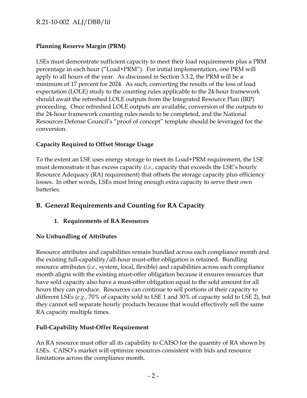# R.21-10-002 ALJ/DBB/lil

# **Planning Reserve Margin (PRM)**

LSEs must demonstrate sufficient capacity to meet their load requirements plus a PRM percentage in each hour ("Load+PRM"). For initial implementation, one PRM will apply to all hours of the year. As discussed in Section 3.3.2, the PRM will be a minimum of 17 percent for 2024. As such, converting the results of the loss of load expectation (LOLE) study to the counting rules applicable to the 24-hour framework should await the refreshed LOLE outputs from the Integrated Resource Plan (IRP) proceeding. Once refreshed LOLE outputs are available, conversion of the outputs to the 24-hour framework counting rules needs to be completed, and the National Resources Defense Council's "proof of concept" template should be leveraged for the conversion.

#### **Capacity Required to Offset Storage Usage**

To the extent an LSE uses energy storage to meet its Load+PRM requirement, the LSE must demonstrate it has excess capacity *(i.e.,* capacity that exceeds the LSE's hourly Resource Adequacy (RA) requirement) that offsets the storage capacity plus efficiency losses. In other words, LSEs must bring enough extra capacity to serve their own batteries.

# **B. General Requirements and Counting for RA Capacity**

### **1. Requirements of RA Resources**

### **No Unbundling of Attributes**

Resource attributes and capabilities remain bundled across each compliance month and the existing full-capability/all-hour must-offer obligation is retained. Bundling resource attributes (*i.e.,* system, local, flexible) and capabilities across each compliance month aligns with the existing must-offer obligation because it ensures resources that have sold capacity also have a must-offer obligation equal to the sold amount for all hours they can produce. Resources can continue to sell portions of their capacity to different LSEs (*e.g.,* 70% of capacity sold to LSE 1 and 30% of capacity sold to LSE 2), but they cannot sell separate hourly products because that would effectively sell the same RA capacity multiple times.

### **Full-Capability Must-Offer Requirement**

An RA resource must offer all its capability to CAISO for the quantity of RA shown by LSEs. CAISO's market will optimize resources consistent with bids and resource limitations across the compliance month.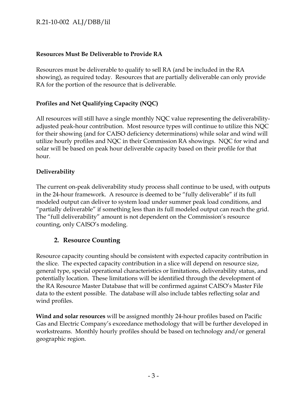# R.21-10-002 ALJ/DBB/lil

#### **Resources Must Be Deliverable to Provide RA**

Resources must be deliverable to qualify to sell RA (and be included in the RA showing), as required today. Resources that are partially deliverable can only provide RA for the portion of the resource that is deliverable.

### **Profiles and Net Qualifying Capacity (NQC)**

All resources will still have a single monthly NQC value representing the deliverabilityadjusted peak-hour contribution. Most resource types will continue to utilize this NQC for their showing (and for CAISO deficiency determinations) while solar and wind will utilize hourly profiles and NQC in their Commission RA showings. NQC for wind and solar will be based on peak hour deliverable capacity based on their profile for that hour.

### **Deliverability**

The current on-peak deliverability study process shall continue to be used, with outputs in the 24-hour framework. A resource is deemed to be "fully deliverable" if its full modeled output can deliver to system load under summer peak load conditions, and "partially deliverable" if something less than its full modeled output can reach the grid. The "full deliverability" amount is not dependent on the Commission's resource counting, only CAISO's modeling.

# **2. Resource Counting**

Resource capacity counting should be consistent with expected capacity contribution in the slice. The expected capacity contribution in a slice will depend on resource size, general type, special operational characteristics or limitations, deliverability status, and potentially location. These limitations will be identified through the development of the RA Resource Master Database that will be confirmed against CAISO's Master File data to the extent possible. The database will also include tables reflecting solar and wind profiles.

**Wind and solar resources** will be assigned monthly 24-hour profiles based on Pacific Gas and Electric Company's exceedance methodology that will be further developed in workstreams. Monthly hourly profiles should be based on technology and/or general geographic region.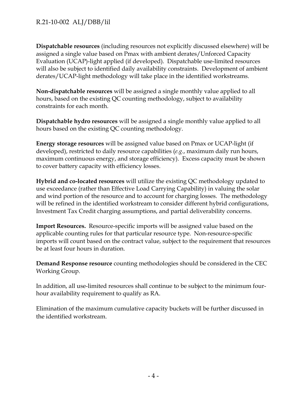**Dispatchable resources** (including resources not explicitly discussed elsewhere) will be assigned a single value based on Pmax with ambient derates/Unforced Capacity Evaluation (UCAP)-light applied (if developed). Dispatchable use-limited resources will also be subject to identified daily availability constraints. Development of ambient derates/UCAP-light methodology will take place in the identified workstreams.

**Non-dispatchable resources** will be assigned a single monthly value applied to all hours, based on the existing QC counting methodology, subject to availability constraints for each month.

**Dispatchable hydro resources** will be assigned a single monthly value applied to all hours based on the existing QC counting methodology.

**Energy storage resources** will be assigned value based on Pmax or UCAP-light (if developed), restricted to daily resource capabilities (*e.g.*, maximum daily run hours, maximum continuous energy, and storage efficiency). Excess capacity must be shown to cover battery capacity with efficiency losses.

**Hybrid and co-located resources** will utilize the existing QC methodology updated to use exceedance (rather than Effective Load Carrying Capability) in valuing the solar and wind portion of the resource and to account for charging losses. The methodology will be refined in the identified workstream to consider different hybrid configurations, Investment Tax Credit charging assumptions, and partial deliverability concerns.

**Import Resources.** Resource-specific imports will be assigned value based on the applicable counting rules for that particular resource type. Non-resource-specific imports will count based on the contract value, subject to the requirement that resources be at least four hours in duration.

**Demand Response resource** counting methodologies should be considered in the CEC Working Group.

In addition, all use-limited resources shall continue to be subject to the minimum fourhour availability requirement to qualify as RA.

Elimination of the maximum cumulative capacity buckets will be further discussed in the identified workstream.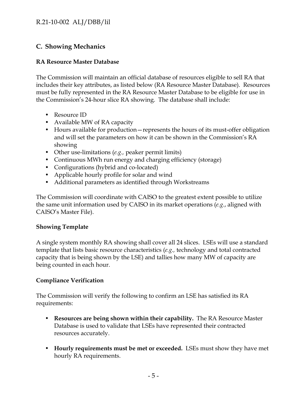# **C. Showing Mechanics**

# **RA Resource Master Database**

The Commission will maintain an official database of resources eligible to sell RA that includes their key attributes, as listed below (RA Resource Master Database). Resources must be fully represented in the RA Resource Master Database to be eligible for use in the Commission's 24-hour slice RA showing. The database shall include:

- Resource ID
- Available MW of RA capacity
- Hours available for production—represents the hours of its must-offer obligation and will set the parameters on how it can be shown in the Commission's RA showing
- Other use-limitations (*e.g.,* peaker permit limits)
- Continuous MWh run energy and charging efficiency (storage)
- Configurations (hybrid and co-located)
- Applicable hourly profile for solar and wind
- Additional parameters as identified through Workstreams

The Commission will coordinate with CAISO to the greatest extent possible to utilize the same unit information used by CAISO in its market operations (*e.g.*, aligned with CAISO's Master File).

### **Showing Template**

A single system monthly RA showing shall cover all 24 slices. LSEs will use a standard template that lists basic resource characteristics (*e.g.,* technology and total contracted capacity that is being shown by the LSE) and tallies how many MW of capacity are being counted in each hour.

# **Compliance Verification**

The Commission will verify the following to confirm an LSE has satisfied its RA requirements:

- **Resources are being shown within their capability.** The RA Resource Master Database is used to validate that LSEs have represented their contracted resources accurately.
- **Hourly requirements must be met or exceeded.** LSEs must show they have met hourly RA requirements.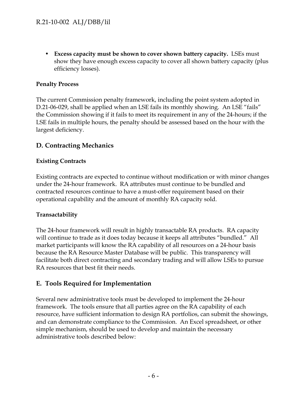• **Excess capacity must be shown to cover shown battery capacity.** LSEs must show they have enough excess capacity to cover all shown battery capacity (plus efficiency losses).

### **Penalty Process**

The current Commission penalty framework, including the point system adopted in D.21-06-029, shall be applied when an LSE fails its monthly showing. An LSE "fails" the Commission showing if it fails to meet its requirement in any of the 24-hours; if the LSE fails in multiple hours, the penalty should be assessed based on the hour with the largest deficiency.

# **D. Contracting Mechanics**

### **Existing Contracts**

Existing contracts are expected to continue without modification or with minor changes under the 24-hour framework. RA attributes must continue to be bundled and contracted resources continue to have a must-offer requirement based on their operational capability and the amount of monthly RA capacity sold.

### **Transactability**

The 24-hour framework will result in highly transactable RA products. RA capacity will continue to trade as it does today because it keeps all attributes "bundled." All market participants will know the RA capability of all resources on a 24-hour basis because the RA Resource Master Database will be public. This transparency will facilitate both direct contracting and secondary trading and will allow LSEs to pursue RA resources that best fit their needs.

### **E. Tools Required for Implementation**

Several new administrative tools must be developed to implement the 24-hour framework. The tools ensure that all parties agree on the RA capability of each resource, have sufficient information to design RA portfolios, can submit the showings, and can demonstrate compliance to the Commission. An Excel spreadsheet, or other simple mechanism, should be used to develop and maintain the necessary administrative tools described below: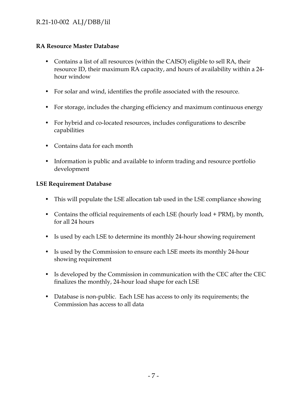### **RA Resource Master Database**

- Contains a list of all resources (within the CAISO) eligible to sell RA, their resource ID, their maximum RA capacity, and hours of availability within a 24 hour window
- For solar and wind, identifies the profile associated with the resource.
- For storage, includes the charging efficiency and maximum continuous energy
- For hybrid and co-located resources, includes configurations to describe capabilities
- Contains data for each month
- Information is public and available to inform trading and resource portfolio development

# **LSE Requirement Database**

- This will populate the LSE allocation tab used in the LSE compliance showing
- Contains the official requirements of each LSE (hourly load + PRM), by month, for all 24 hours
- Is used by each LSE to determine its monthly 24-hour showing requirement
- Is used by the Commission to ensure each LSE meets its monthly 24-hour showing requirement
- Is developed by the Commission in communication with the CEC after the CEC finalizes the monthly, 24-hour load shape for each LSE
- Database is non-public. Each LSE has access to only its requirements; the Commission has access to all data